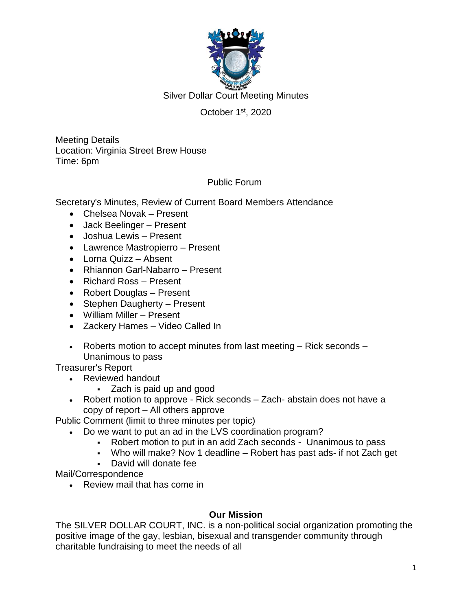

Silver Dollar Court Meeting Minutes

# October 1<sup>st</sup>, 2020

Meeting Details Location: Virginia Street Brew House Time: 6pm

## Public Forum

Secretary's Minutes, Review of Current Board Members Attendance

- Chelsea Novak Present
- Jack Beelinger Present
- Joshua Lewis Present
- Lawrence Mastropierro Present
- Lorna Quizz Absent
- Rhiannon Garl-Nabarro Present
- Richard Ross Present
- Robert Douglas Present
- Stephen Daugherty Present
- William Miller Present
- Zackery Hames Video Called In
- Roberts motion to accept minutes from last meeting  $-$  Rick seconds  $-$ Unanimous to pass

Treasurer's Report

- Reviewed handout
	- Zach is paid up and good
- Robert motion to approve Rick seconds Zach- abstain does not have a copy of report – All others approve

Public Comment (limit to three minutes per topic)

- Do we want to put an ad in the LVS coordination program?
	- Robert motion to put in an add Zach seconds Unanimous to pass
	- Who will make? Nov 1 deadline Robert has past ads- if not Zach get
	- David will donate fee

Mail/Correspondence

• Review mail that has come in

### **Our Mission**

The SILVER DOLLAR COURT, INC. is a non-political social organization promoting the positive image of the gay, lesbian, bisexual and transgender community through charitable fundraising to meet the needs of all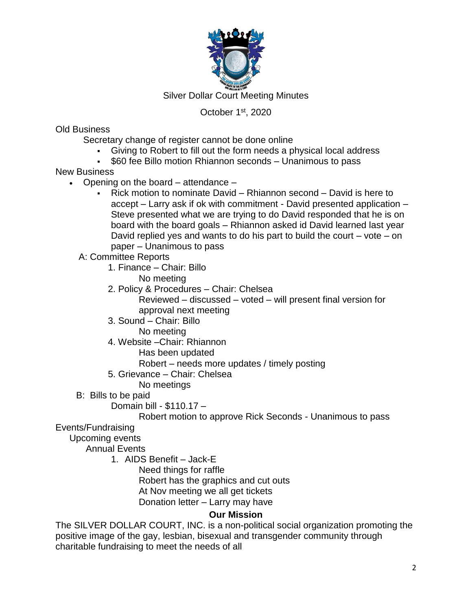

Silver Dollar Court Meeting Minutes

## October 1<sup>st</sup>, 2020

Old Business

Secretary change of register cannot be done online

- Giving to Robert to fill out the form needs a physical local address
- \$60 fee Billo motion Rhiannon seconds Unanimous to pass

New Business

- Opening on the board  $-$  attendance  $-$ 
	- Rick motion to nominate David Rhiannon second David is here to accept – Larry ask if ok with commitment - David presented application – Steve presented what we are trying to do David responded that he is on board with the board goals – Rhiannon asked id David learned last year David replied yes and wants to do his part to build the court  $-$  vote  $-$  on paper – Unanimous to pass
	- A: Committee Reports
		- 1. Finance Chair: Billo
			- No meeting
		- 2. Policy & Procedures Chair: Chelsea Reviewed – discussed – voted – will present final version for approval next meeting
		- 3. Sound Chair: Billo
			- No meeting
		- 4. Website –Chair: Rhiannon
			- Has been updated
			- Robert needs more updates / timely posting
		- 5. Grievance Chair: Chelsea
			- No meetings
	- B: Bills to be paid
		- Domain bill \$110.17 –

Robert motion to approve Rick Seconds - Unanimous to pass

## Events/Fundraising

Upcoming events

Annual Events

1. AIDS Benefit – Jack-E

Need things for raffle Robert has the graphics and cut outs At Nov meeting we all get tickets Donation letter – Larry may have

## **Our Mission**

The SILVER DOLLAR COURT, INC. is a non-political social organization promoting the positive image of the gay, lesbian, bisexual and transgender community through charitable fundraising to meet the needs of all